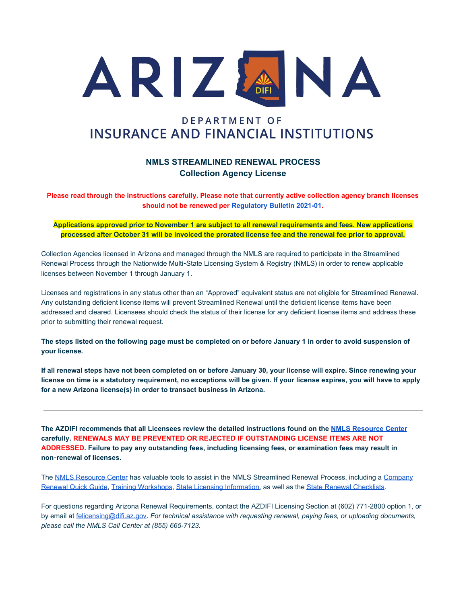

# **DEPARTMENT OF INSURANCE AND FINANCIAL INSTITUTIONS**

## **NMLS STREAMLINED RENEWAL PROCESS Collection Agency License**

**Please read through the instructions carefully. Please note that currently active collection agency branch licenses should not be renewed per [Regulatory Bulletin 2021-01.](https://dfi.az.gov/sites/default/files/Collection%20Agency%20Branches%20-%20Licensing%2009.18.2020.pdf)**

**Applications approved prior to November 1 are subject to all renewal requirements and fees. New applications processed after October 31 will be invoiced the prorated license fee and the renewal fee prior to approval.**

Collection Agencies licensed in Arizona and managed through the NMLS are required to participate in the Streamlined Renewal Process through the Nationwide Multi-State Licensing System & Registry (NMLS) in order to renew applicable licenses between November 1 through January 1.

Licenses and registrations in any status other than an "Approved" equivalent status are not eligible for Streamlined Renewal. Any outstanding deficient license items will prevent Streamlined Renewal until the deficient license items have been addressed and cleared. Licensees should check the status of their license for any deficient license items and address these prior to submitting their renewal request.

**The steps listed on the following page must be completed on or before January 1 in order to avoid suspension of your license***.*

**If all renewal steps have not been completed on or before January 30, your license will expire. Since renewing your license on time is a statutory requirement, no exceptions will be given. If your license expires, you will have to apply for a new Arizona license(s) in order to transact business in Arizona.**

**The AZDIFI recommends that all Licensees review the detailed instructions found on the [NMLS Resource Center](https://mortgage.nationwidelicensingsystem.org/Pages/default.aspx) carefully. RENEWALS MAY BE PREVENTED OR REJECTED IF OUTSTANDING LICENSE ITEMS ARE NOT ADDRESSED. Failure to pay any outstanding fees, including licensing fees, or examination fees may result in non**-**renewal of licenses.**

The [NMLS Resource Center](http://mortgage.nationwidelicensingsystem.org/Pages/default.aspx) has valuable tools to assist in the NMLS Streamlined Renewal Process, including a [Company](http://mortgage.nationwidelicensingsystem.org/licensees/resources/LicenseeResources/Company-Renewal-Quick-Guide.pdf) [Renewal Quick Guide](http://mortgage.nationwidelicensingsystem.org/licensees/resources/LicenseeResources/Company-Renewal-Quick-Guide.pdf)[,](http://mortgage.nationwidelicensingsystem.org/news/events/Pages/default.aspx) [Training Workshops](http://mortgage.nationwidelicensingsystem.org/news/events/Pages/default.aspx), [State Licensing Information](http://mortgage.nationwidelicensingsystem.org/SLR/Pages/default.aspx), as well as the [State Renewal Checklists](http://mortgage.nationwidelicensingsystem.org/slr/common/renewals/NMLS%20Document%20Library/2015%20Renewal%20Checklists.pdf).

For questions regarding Arizona Renewal Requirements, contact the AZDIFI Licensing Section at (602) 771-2800 option 1, or by email at [felicensing@difi.az.gov](mailto:felicensing@difi.az.gov)*. For technical assistance with requesting renewal, paying fees, or uploading documents, please call the NMLS Call Center at (855) 665-7123.*